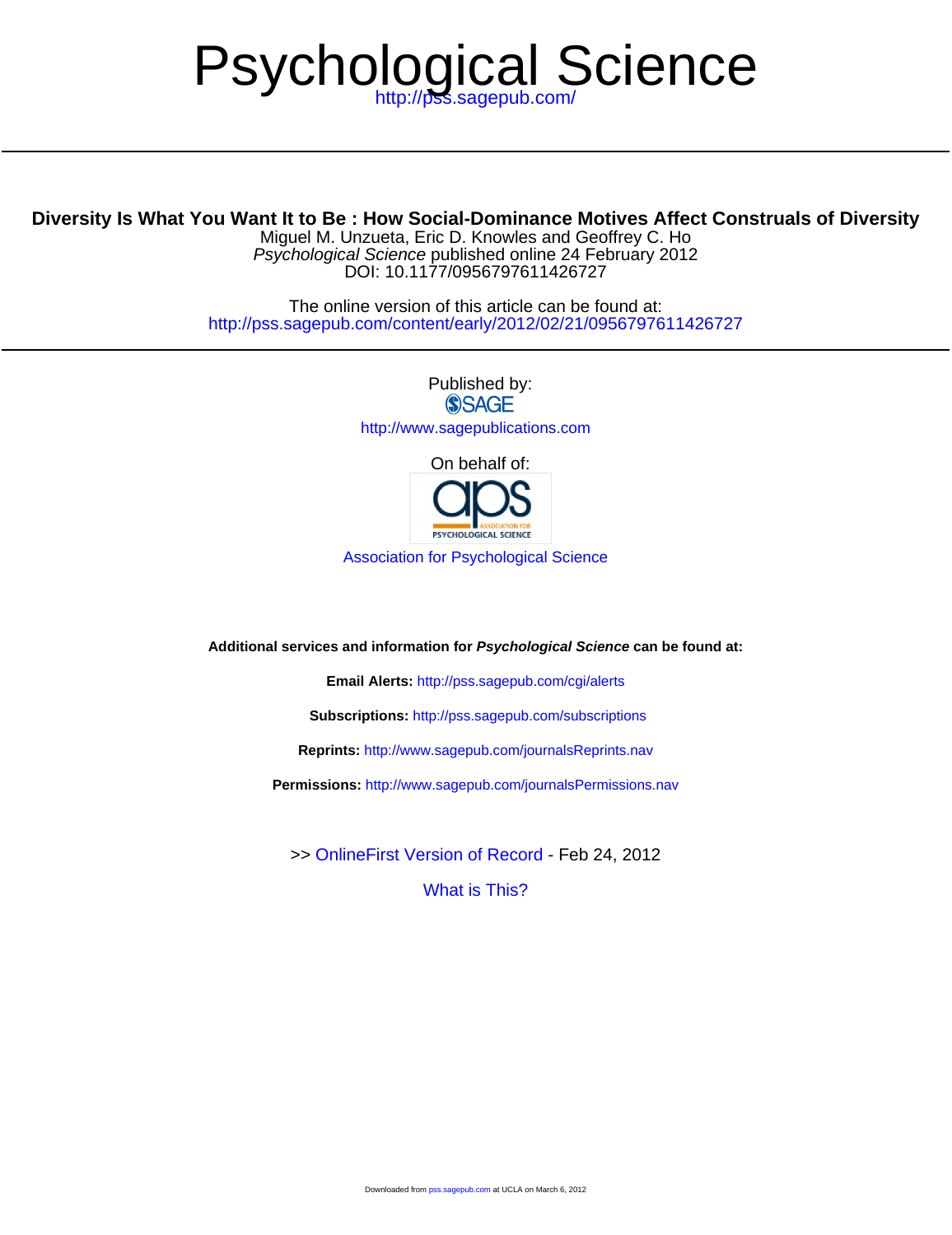# Psychological Science

# **Diversity Is What You Want It to Be : How Social-Dominance Motives Affect Construals of Diversity**

DOI: 10.1177/0956797611426727 Psychological Science published online 24 February 2012 Miguel M. Unzueta, Eric D. Knowles and Geoffrey C. Ho

<http://pss.sagepub.com/content/early/2012/02/21/0956797611426727> The online version of this article can be found at:

> Published by:<br>
> SAGE <http://www.sagepublications.com> On behalf of:



[Association for Psychological Science](http://www.psychologicalscience.org/)

**Additional services and information for Psychological Science can be found at:**

**Email Alerts:** <http://pss.sagepub.com/cgi/alerts>

**Subscriptions:** <http://pss.sagepub.com/subscriptions>

**Reprints:** <http://www.sagepub.com/journalsReprints.nav>

**Permissions:** <http://www.sagepub.com/journalsPermissions.nav>

[What is This?](http://online.sagepub.com/site/sphelp/vorhelp.xhtml) >> [OnlineFirst Version of Record -](http://pss.sagepub.com/content/early/2012/02/21/0956797611426727.full.pdf) Feb 24, 2012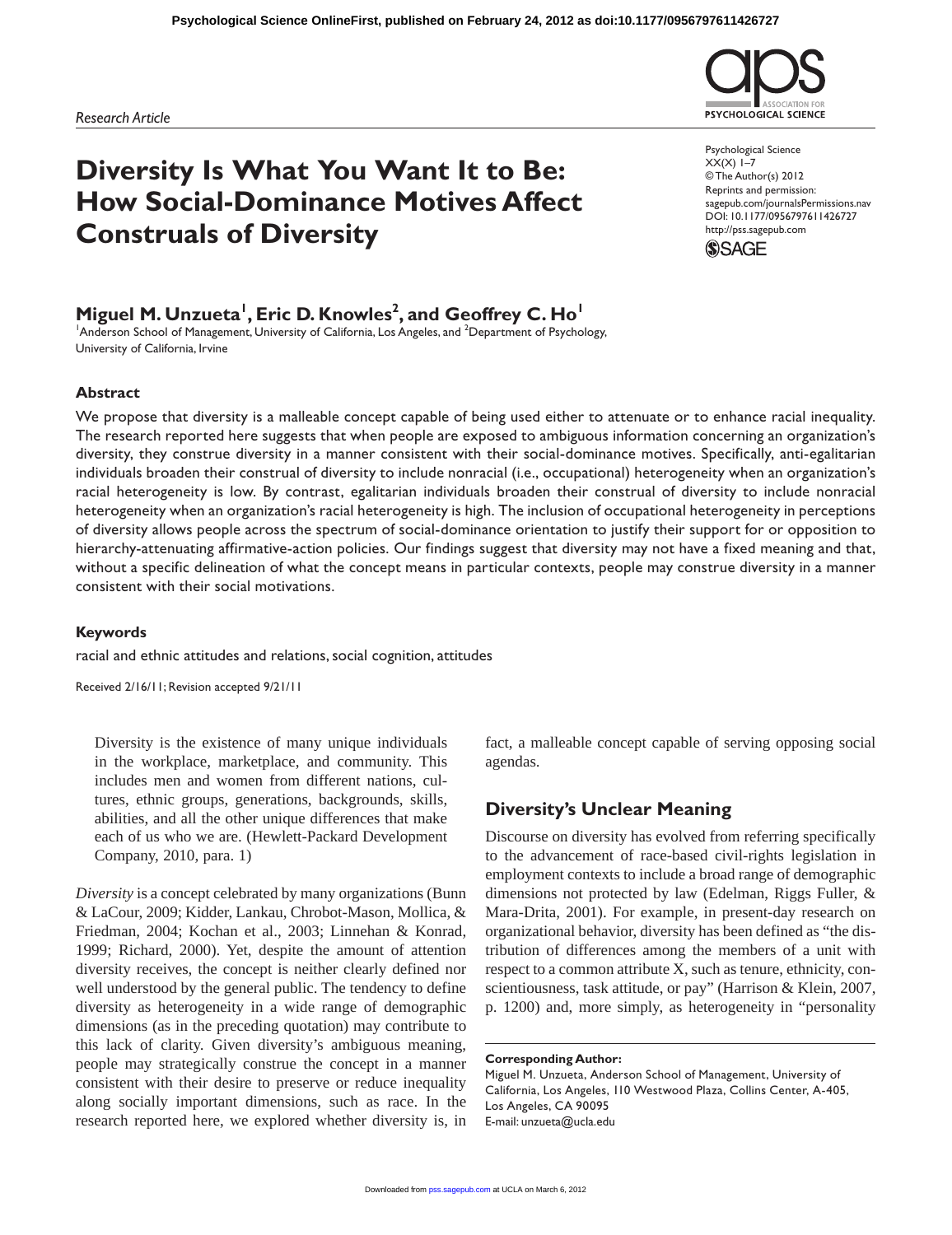*Research Article*

# **Diversity Is What You Want It to Be: How Social-Dominance Motives Affect Construals of Diversity**

Psychological Science  $XX(X)$  1–7 © The Author(s) 2012 Reprints and permission: sagepub.com/journalsPermissions.nav DOI: 10.1177/0956797611426727 http://pss.sagepub.com

PSYCHOLOGICAL SCIENCE



# Miguel M. Unzueta<sup>1</sup>, Eric D. Knowles<sup>2</sup>, and Geoffrey C. Ho<sup>1</sup>

<sup>1</sup> Anderson School of Management, University of California, Los Angeles, and <sup>2</sup>Department of Psychology, University of California, Irvine

#### **Abstract**

We propose that diversity is a malleable concept capable of being used either to attenuate or to enhance racial inequality. The research reported here suggests that when people are exposed to ambiguous information concerning an organization's diversity, they construe diversity in a manner consistent with their social-dominance motives. Specifically, anti-egalitarian individuals broaden their construal of diversity to include nonracial (i.e., occupational) heterogeneity when an organization's racial heterogeneity is low. By contrast, egalitarian individuals broaden their construal of diversity to include nonracial heterogeneity when an organization's racial heterogeneity is high. The inclusion of occupational heterogeneity in perceptions of diversity allows people across the spectrum of social-dominance orientation to justify their support for or opposition to hierarchy-attenuating affirmative-action policies. Our findings suggest that diversity may not have a fixed meaning and that, without a specific delineation of what the concept means in particular contexts, people may construe diversity in a manner consistent with their social motivations.

#### **Keywords**

racial and ethnic attitudes and relations, social cognition, attitudes

Received 2/16/11; Revision accepted 9/21/11

Diversity is the existence of many unique individuals in the workplace, marketplace, and community. This includes men and women from different nations, cultures, ethnic groups, generations, backgrounds, skills, abilities, and all the other unique differences that make each of us who we are. (Hewlett-Packard Development Company, 2010, para. 1)

*Diversity* is a concept celebrated by many organizations (Bunn & LaCour, 2009; Kidder, Lankau, Chrobot-Mason, Mollica, & Friedman, 2004; Kochan et al., 2003; Linnehan & Konrad, 1999; Richard, 2000). Yet, despite the amount of attention diversity receives, the concept is neither clearly defined nor well understood by the general public. The tendency to define diversity as heterogeneity in a wide range of demographic dimensions (as in the preceding quotation) may contribute to this lack of clarity. Given diversity's ambiguous meaning, people may strategically construe the concept in a manner consistent with their desire to preserve or reduce inequality along socially important dimensions, such as race. In the research reported here, we explored whether diversity is, in fact, a malleable concept capable of serving opposing social agendas.

# **Diversity's Unclear Meaning**

Discourse on diversity has evolved from referring specifically to the advancement of race-based civil-rights legislation in employment contexts to include a broad range of demographic dimensions not protected by law (Edelman, Riggs Fuller, & Mara-Drita, 2001). For example, in present-day research on organizational behavior, diversity has been defined as "the distribution of differences among the members of a unit with respect to a common attribute X, such as tenure, ethnicity, conscientiousness, task attitude, or pay" (Harrison & Klein, 2007, p. 1200) and, more simply, as heterogeneity in "personality

**Corresponding Author:**

Miguel M. Unzueta, Anderson School of Management, University of California, Los Angeles, 110 Westwood Plaza, Collins Center, A-405, Los Angeles, CA 90095 E-mail: unzueta@ucla.edu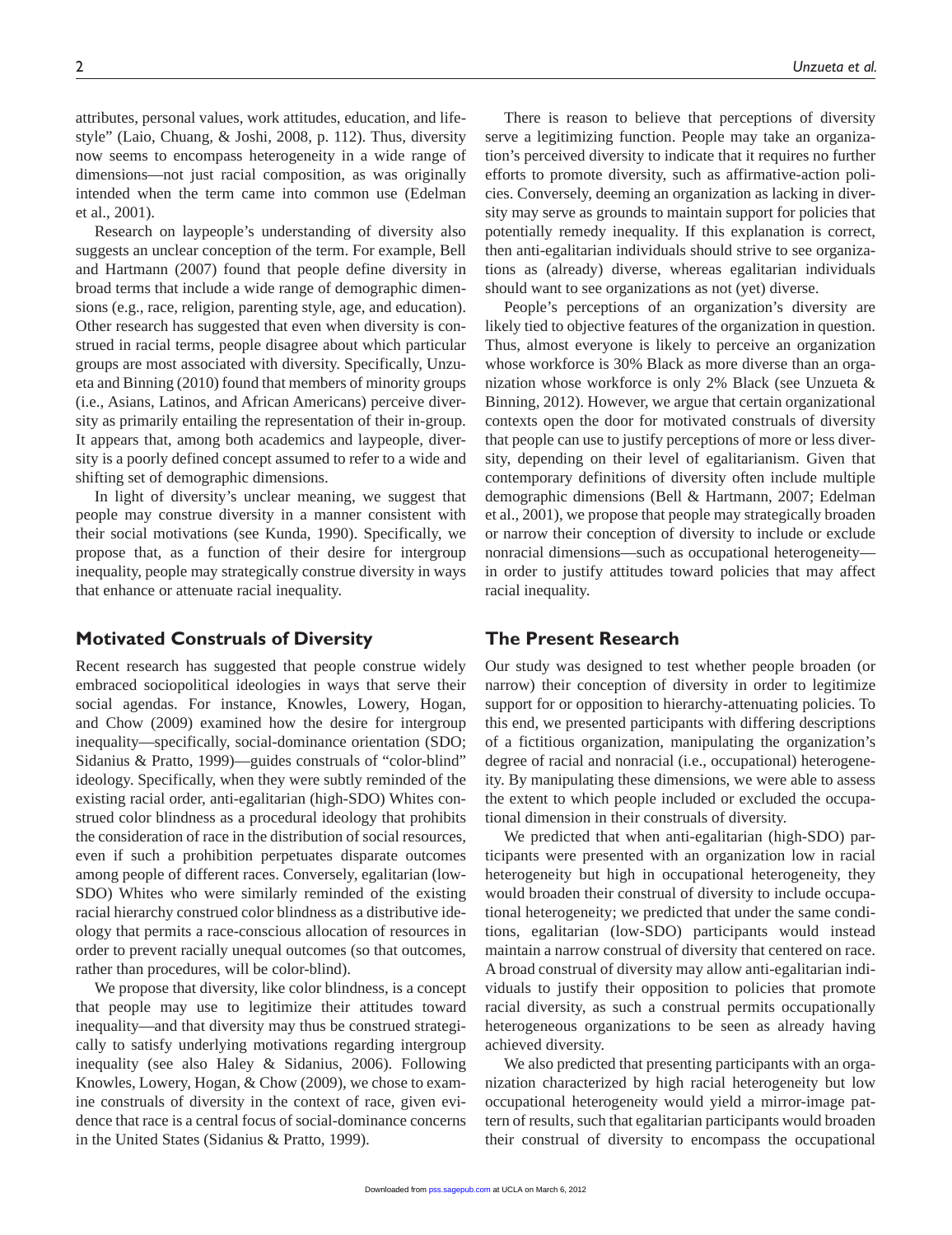attributes, personal values, work attitudes, education, and lifestyle" (Laio, Chuang, & Joshi, 2008, p. 112). Thus, diversity now seems to encompass heterogeneity in a wide range of dimensions—not just racial composition, as was originally intended when the term came into common use (Edelman et al., 2001).

Research on laypeople's understanding of diversity also suggests an unclear conception of the term. For example, Bell and Hartmann (2007) found that people define diversity in broad terms that include a wide range of demographic dimensions (e.g., race, religion, parenting style, age, and education). Other research has suggested that even when diversity is construed in racial terms, people disagree about which particular groups are most associated with diversity. Specifically, Unzueta and Binning (2010) found that members of minority groups (i.e., Asians, Latinos, and African Americans) perceive diversity as primarily entailing the representation of their in-group. It appears that, among both academics and laypeople, diversity is a poorly defined concept assumed to refer to a wide and shifting set of demographic dimensions.

In light of diversity's unclear meaning, we suggest that people may construe diversity in a manner consistent with their social motivations (see Kunda, 1990). Specifically, we propose that, as a function of their desire for intergroup inequality, people may strategically construe diversity in ways that enhance or attenuate racial inequality.

#### **Motivated Construals of Diversity**

Recent research has suggested that people construe widely embraced sociopolitical ideologies in ways that serve their social agendas. For instance, Knowles, Lowery, Hogan, and Chow (2009) examined how the desire for intergroup inequality—specifically, social-dominance orientation (SDO; Sidanius & Pratto, 1999)—guides construals of "color-blind" ideology. Specifically, when they were subtly reminded of the existing racial order, anti-egalitarian (high-SDO) Whites construed color blindness as a procedural ideology that prohibits the consideration of race in the distribution of social resources, even if such a prohibition perpetuates disparate outcomes among people of different races. Conversely, egalitarian (low-SDO) Whites who were similarly reminded of the existing racial hierarchy construed color blindness as a distributive ideology that permits a race-conscious allocation of resources in order to prevent racially unequal outcomes (so that outcomes, rather than procedures, will be color-blind).

We propose that diversity, like color blindness, is a concept that people may use to legitimize their attitudes toward inequality—and that diversity may thus be construed strategically to satisfy underlying motivations regarding intergroup inequality (see also Haley & Sidanius, 2006). Following Knowles, Lowery, Hogan, & Chow (2009), we chose to examine construals of diversity in the context of race, given evidence that race is a central focus of social-dominance concerns in the United States (Sidanius & Pratto, 1999).

There is reason to believe that perceptions of diversity serve a legitimizing function. People may take an organization's perceived diversity to indicate that it requires no further efforts to promote diversity, such as affirmative-action policies. Conversely, deeming an organization as lacking in diversity may serve as grounds to maintain support for policies that potentially remedy inequality. If this explanation is correct, then anti-egalitarian individuals should strive to see organizations as (already) diverse, whereas egalitarian individuals should want to see organizations as not (yet) diverse.

People's perceptions of an organization's diversity are likely tied to objective features of the organization in question. Thus, almost everyone is likely to perceive an organization whose workforce is 30% Black as more diverse than an organization whose workforce is only 2% Black (see Unzueta & Binning, 2012). However, we argue that certain organizational contexts open the door for motivated construals of diversity that people can use to justify perceptions of more or less diversity, depending on their level of egalitarianism. Given that contemporary definitions of diversity often include multiple demographic dimensions (Bell & Hartmann, 2007; Edelman et al., 2001), we propose that people may strategically broaden or narrow their conception of diversity to include or exclude nonracial dimensions—such as occupational heterogeneity in order to justify attitudes toward policies that may affect racial inequality.

#### **The Present Research**

Our study was designed to test whether people broaden (or narrow) their conception of diversity in order to legitimize support for or opposition to hierarchy-attenuating policies. To this end, we presented participants with differing descriptions of a fictitious organization, manipulating the organization's degree of racial and nonracial (i.e., occupational) heterogeneity. By manipulating these dimensions, we were able to assess the extent to which people included or excluded the occupational dimension in their construals of diversity.

We predicted that when anti-egalitarian (high-SDO) participants were presented with an organization low in racial heterogeneity but high in occupational heterogeneity, they would broaden their construal of diversity to include occupational heterogeneity; we predicted that under the same conditions, egalitarian (low-SDO) participants would instead maintain a narrow construal of diversity that centered on race. A broad construal of diversity may allow anti-egalitarian individuals to justify their opposition to policies that promote racial diversity, as such a construal permits occupationally heterogeneous organizations to be seen as already having achieved diversity.

We also predicted that presenting participants with an organization characterized by high racial heterogeneity but low occupational heterogeneity would yield a mirror-image pattern of results, such that egalitarian participants would broaden their construal of diversity to encompass the occupational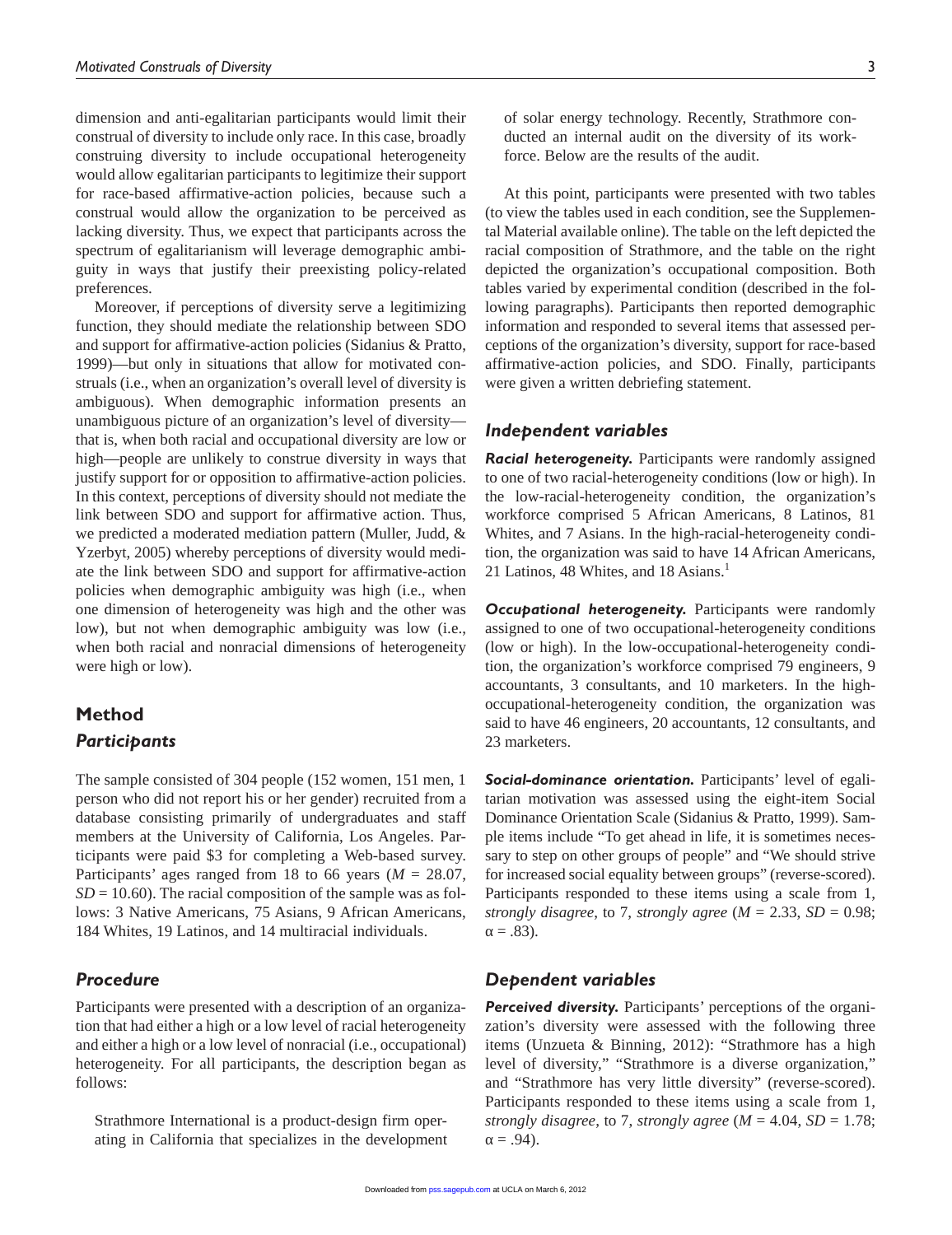dimension and anti-egalitarian participants would limit their construal of diversity to include only race. In this case, broadly construing diversity to include occupational heterogeneity would allow egalitarian participants to legitimize their support for race-based affirmative-action policies, because such a construal would allow the organization to be perceived as lacking diversity. Thus, we expect that participants across the spectrum of egalitarianism will leverage demographic ambiguity in ways that justify their preexisting policy-related preferences.

Moreover, if perceptions of diversity serve a legitimizing function, they should mediate the relationship between SDO and support for affirmative-action policies (Sidanius & Pratto, 1999)—but only in situations that allow for motivated construals (i.e., when an organization's overall level of diversity is ambiguous). When demographic information presents an unambiguous picture of an organization's level of diversity that is, when both racial and occupational diversity are low or high—people are unlikely to construe diversity in ways that justify support for or opposition to affirmative-action policies. In this context, perceptions of diversity should not mediate the link between SDO and support for affirmative action. Thus, we predicted a moderated mediation pattern (Muller, Judd, & Yzerbyt, 2005) whereby perceptions of diversity would mediate the link between SDO and support for affirmative-action policies when demographic ambiguity was high (i.e., when one dimension of heterogeneity was high and the other was low), but not when demographic ambiguity was low (i.e., when both racial and nonracial dimensions of heterogeneity were high or low).

# **Method** *Participants*

The sample consisted of 304 people (152 women, 151 men, 1 person who did not report his or her gender) recruited from a database consisting primarily of undergraduates and staff members at the University of California, Los Angeles. Participants were paid \$3 for completing a Web-based survey. Participants' ages ranged from 18 to 66 years (*M* = 28.07,  $SD = 10.60$ ). The racial composition of the sample was as follows: 3 Native Americans, 75 Asians, 9 African Americans, 184 Whites, 19 Latinos, and 14 multiracial individuals.

#### *Procedure*

Participants were presented with a description of an organization that had either a high or a low level of racial heterogeneity and either a high or a low level of nonracial (i.e., occupational) heterogeneity. For all participants, the description began as follows:

Strathmore International is a product-design firm operating in California that specializes in the development of solar energy technology. Recently, Strathmore conducted an internal audit on the diversity of its workforce. Below are the results of the audit.

At this point, participants were presented with two tables (to view the tables used in each condition, see the Supplemental Material available online). The table on the left depicted the racial composition of Strathmore, and the table on the right depicted the organization's occupational composition. Both tables varied by experimental condition (described in the following paragraphs). Participants then reported demographic information and responded to several items that assessed perceptions of the organization's diversity, support for race-based affirmative-action policies, and SDO. Finally, participants were given a written debriefing statement.

#### *Independent variables*

*Racial heterogeneity.* Participants were randomly assigned to one of two racial-heterogeneity conditions (low or high). In the low-racial-heterogeneity condition, the organization's workforce comprised 5 African Americans, 8 Latinos, 81 Whites, and 7 Asians. In the high-racial-heterogeneity condition, the organization was said to have 14 African Americans, 21 Latinos, 48 Whites, and 18 Asians.<sup>1</sup>

**Occupational heterogeneity.** Participants were randomly assigned to one of two occupational-heterogeneity conditions (low or high). In the low-occupational-heterogeneity condition, the organization's workforce comprised 79 engineers, 9 accountants, 3 consultants, and 10 marketers. In the highoccupational-heterogeneity condition, the organization was said to have 46 engineers, 20 accountants, 12 consultants, and 23 marketers.

*Social-dominance orientation.* Participants' level of egalitarian motivation was assessed using the eight-item Social Dominance Orientation Scale (Sidanius & Pratto, 1999). Sample items include "To get ahead in life, it is sometimes necessary to step on other groups of people" and "We should strive for increased social equality between groups" (reverse-scored). Participants responded to these items using a scale from 1, *strongly disagree, to 7, <i>strongly agree*  $(M = 2.33, SD = 0.98;$  $= .83$ ).

#### *Dependent variables*

**Perceived diversity.** Participants' perceptions of the organization's diversity were assessed with the following three items (Unzueta & Binning, 2012): "Strathmore has a high level of diversity," "Strathmore is a diverse organization," and "Strathmore has very little diversity" (reverse-scored). Participants responded to these items using a scale from 1, *strongly disagree, to 7, <i>strongly agree*  $(M = 4.04, SD = 1.78;$  $= .94$ ).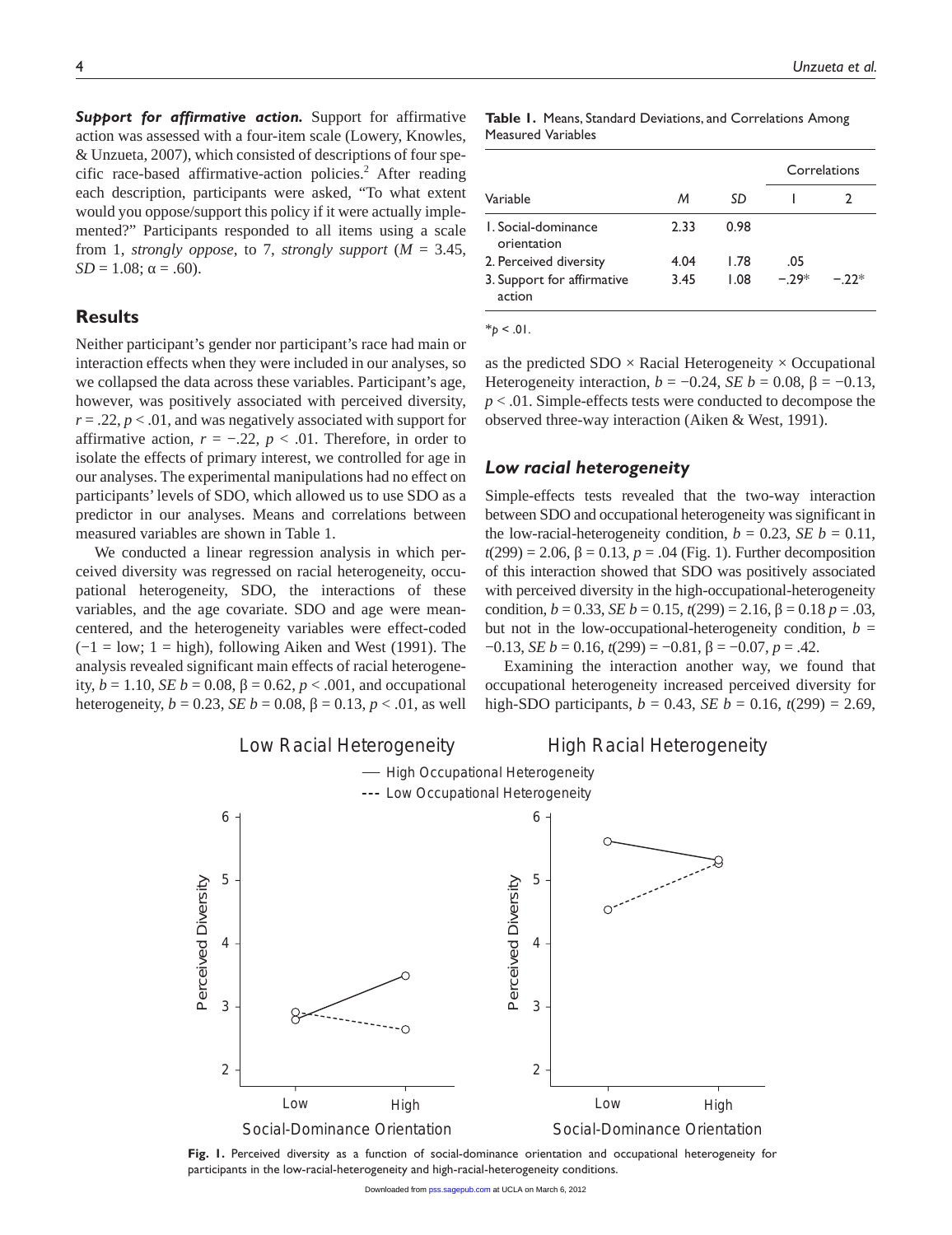*Support for affirmative action.* Support for affirmative action was assessed with a four-item scale (Lowery, Knowles, & Unzueta, 2007), which consisted of descriptions of four specific race-based affirmative-action policies.<sup>2</sup> After reading each description, participants were asked, "To what extent would you oppose/support this policy if it were actually implemented?" Participants responded to all items using a scale from 1, *strongly oppose*, to 7, *strongly support*  $(M = 3.45,$  $SD = 1.08$ ;  $= .60$ ).

# **Results**

Neither participant's gender nor participant's race had main or interaction effects when they were included in our analyses, so we collapsed the data across these variables. Participant's age, however, was positively associated with perceived diversity,  $r = .22$ ,  $p < .01$ , and was negatively associated with support for affirmative action,  $r = -.22$ ,  $p < .01$ . Therefore, in order to isolate the effects of primary interest, we controlled for age in our analyses. The experimental manipulations had no effect on participants' levels of SDO, which allowed us to use SDO as a predictor in our analyses. Means and correlations between measured variables are shown in Table 1.

We conducted a linear regression analysis in which perceived diversity was regressed on racial heterogeneity, occupational heterogeneity, SDO, the interactions of these variables, and the age covariate. SDO and age were meancentered, and the heterogeneity variables were effect-coded  $(-1 = low; 1 = high)$ , following Aiken and West (1991). The analysis revealed significant main effects of racial heterogeneity,  $b = 1.10$ , *SE*  $b = 0.08$ ,  $= 0.62$ ,  $p < .001$ , and occupational heterogeneity,  $b = 0.23$ , *SE*  $b = 0.08$ ,  $= 0.13$ ,  $p < 0.01$ , as well

**Table 1.** Means, Standard Deviations, and Correlations Among Measured Variables

| Variable                             | M    | SD   | Correlations |       |
|--------------------------------------|------|------|--------------|-------|
|                                      |      |      |              | 2     |
| L. Social-dominance<br>orientation   | 2.33 | 0.98 |              |       |
| 2. Perceived diversity               | 4.04 | 1.78 | .05          |       |
| 3. Support for affirmative<br>action | 3.45 | 1.08 | $-79*$       | – วว∗ |

 $*_{p}$  < .01.

as the predicted  $SDO \times$  Racial Heterogeneity  $\times$  Occupational Heterogeneity interaction,  $b = -0.24$ , *SE*  $b = 0.08$ ,  $= -0.13$ , *p* < .01. Simple-effects tests were conducted to decompose the observed three-way interaction (Aiken & West, 1991).

#### *Low racial heterogeneity*

Simple-effects tests revealed that the two-way interaction between SDO and occupational heterogeneity was significant in the low-racial-heterogeneity condition,  $b = 0.23$ , *SE*  $b = 0.11$ ,  $t(299) = 2.06$ ,  $= 0.13$ ,  $p = .04$  (Fig. 1). Further decomposition of this interaction showed that SDO was positively associated with perceived diversity in the high-occupational-heterogeneity condition,  $b = 0.33$ , *SE*  $b = 0.15$ ,  $t(299) = 2.16$ ,  $= 0.18$   $p = .03$ , but not in the low-occupational-heterogeneity condition,  $b =$  $-0.13$ , *SE b* = 0.16,  $t(299) = -0.81$ ,  $= -0.07$ ,  $p = .42$ .

Examining the interaction another way, we found that occupational heterogeneity increased perceived diversity for high-SDO participants,  $b = 0.43$ , *SE*  $b = 0.16$ ,  $t(299) = 2.69$ ,

# Low Racial Heterogeneity **High Racial Heterogeneity** - High Occupational Heterogeneity --- Low Occupational Heterogeneity 6 6 5 5 Perceived Diversity Perceived Diversity Perceived Diversity Perceived Diversity 4 4 3 3 2 2 Low High Low High

Social-Dominance Orientation Social-Dominance Orientation **Fig. 1.** Perceived diversity as a function of social-dominance orientation and occupational heterogeneity for

participants in the low-racial-heterogeneity and high-racial-heterogeneity conditions.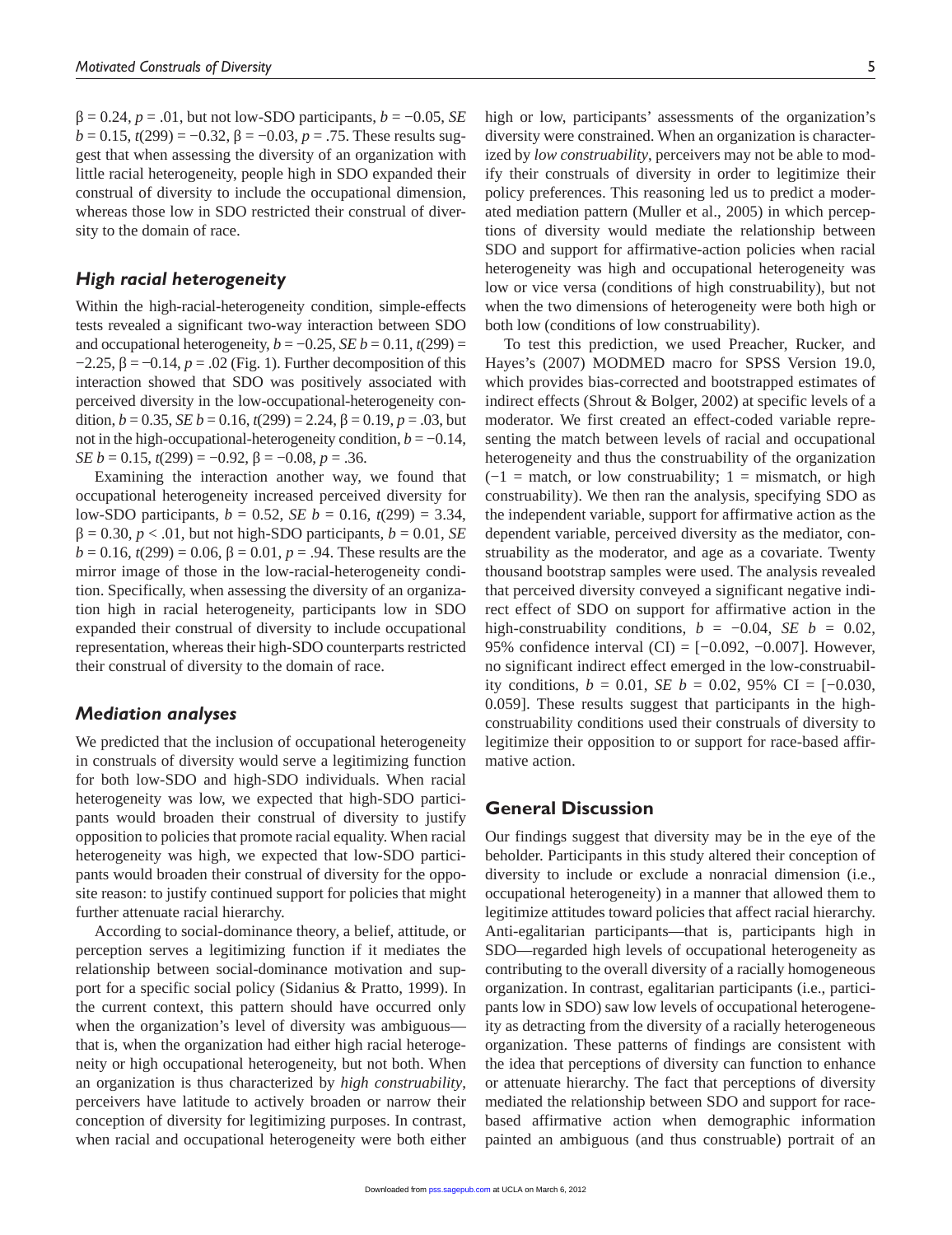$B = 0.24$ ,  $p = .01$ , but not low-SDO participants,  $b = -0.05$ , *SE*  $b = 0.15$ ,  $t(299) = -0.32$ ,  $= -0.03$ ,  $p = .75$ . These results suggest that when assessing the diversity of an organization with little racial heterogeneity, people high in SDO expanded their construal of diversity to include the occupational dimension, whereas those low in SDO restricted their construal of diversity to the domain of race.

#### *High racial heterogeneity*

Within the high-racial-heterogeneity condition, simple-effects tests revealed a significant two-way interaction between SDO and occupational heterogeneity,  $b = -0.25$ , *SE*  $b = 0.11$ ,  $t(299) =$  $-2.25$ ,  $= -0.14$ ,  $p = .02$  (Fig. 1). Further decomposition of this interaction showed that SDO was positively associated with perceived diversity in the low-occupational-heterogeneity condition,  $b = 0.35$ , *SE*  $b = 0.16$ ,  $t(299) = 2.24$ ,  $= 0.19$ ,  $p = .03$ , but not in the high-occupational-heterogeneity condition,  $b = -0.14$ , *SE b* = 0.15,  $t(299) = -0.92$ ,  $= -0.08$ ,  $p = 0.36$ .

Examining the interaction another way, we found that occupational heterogeneity increased perceived diversity for low-SDO participants, *b* = 0.52, *SE b* = 0.16, *t*(299) = 3.34,  $B = 0.30, p < 0.01$ , but not high-SDO participants,  $b = 0.01$ , *SE*  $b = 0.16$ ,  $t(299) = 0.06$ ,  $= 0.01$ ,  $p = .94$ . These results are the mirror image of those in the low-racial-heterogeneity condition. Specifically, when assessing the diversity of an organization high in racial heterogeneity, participants low in SDO expanded their construal of diversity to include occupational representation, whereas their high-SDO counterparts restricted their construal of diversity to the domain of race.

#### *Mediation analyses*

We predicted that the inclusion of occupational heterogeneity in construals of diversity would serve a legitimizing function for both low-SDO and high-SDO individuals. When racial heterogeneity was low, we expected that high-SDO participants would broaden their construal of diversity to justify opposition to policies that promote racial equality. When racial heterogeneity was high, we expected that low-SDO participants would broaden their construal of diversity for the opposite reason: to justify continued support for policies that might further attenuate racial hierarchy.

According to social-dominance theory, a belief, attitude, or perception serves a legitimizing function if it mediates the relationship between social-dominance motivation and support for a specific social policy (Sidanius & Pratto, 1999). In the current context, this pattern should have occurred only when the organization's level of diversity was ambiguous that is, when the organization had either high racial heterogeneity or high occupational heterogeneity, but not both. When an organization is thus characterized by *high construability*, perceivers have latitude to actively broaden or narrow their conception of diversity for legitimizing purposes. In contrast, when racial and occupational heterogeneity were both either

high or low, participants' assessments of the organization's diversity were constrained. When an organization is characterized by *low construability*, perceivers may not be able to modify their construals of diversity in order to legitimize their policy preferences. This reasoning led us to predict a moderated mediation pattern (Muller et al., 2005) in which perceptions of diversity would mediate the relationship between SDO and support for affirmative-action policies when racial heterogeneity was high and occupational heterogeneity was low or vice versa (conditions of high construability), but not when the two dimensions of heterogeneity were both high or both low (conditions of low construability).

To test this prediction, we used Preacher, Rucker, and Hayes's (2007) MODMED macro for SPSS Version 19.0, which provides bias-corrected and bootstrapped estimates of indirect effects (Shrout & Bolger, 2002) at specific levels of a moderator. We first created an effect-coded variable representing the match between levels of racial and occupational heterogeneity and thus the construability of the organization  $(-1)$  = match, or low construability; 1 = mismatch, or high construability). We then ran the analysis, specifying SDO as the independent variable, support for affirmative action as the dependent variable, perceived diversity as the mediator, construability as the moderator, and age as a covariate. Twenty thousand bootstrap samples were used. The analysis revealed that perceived diversity conveyed a significant negative indirect effect of SDO on support for affirmative action in the high-construability conditions,  $b = -0.04$ , *SE*  $b = 0.02$ , 95% confidence interval (CI) = [-0.092, -0.007]. However, no significant indirect effect emerged in the low-construability conditions,  $b = 0.01$ , *SE*  $b = 0.02$ , 95% CI = [-0.030, 0.059]. These results suggest that participants in the highconstruability conditions used their construals of diversity to legitimize their opposition to or support for race-based affirmative action.

#### **General Discussion**

Our findings suggest that diversity may be in the eye of the beholder. Participants in this study altered their conception of diversity to include or exclude a nonracial dimension (i.e., occupational heterogeneity) in a manner that allowed them to legitimize attitudes toward policies that affect racial hierarchy. Anti-egalitarian participants—that is, participants high in SDO—regarded high levels of occupational heterogeneity as contributing to the overall diversity of a racially homogeneous organization. In contrast, egalitarian participants (i.e., participants low in SDO) saw low levels of occupational heterogeneity as detracting from the diversity of a racially heterogeneous organization. These patterns of findings are consistent with the idea that perceptions of diversity can function to enhance or attenuate hierarchy. The fact that perceptions of diversity mediated the relationship between SDO and support for racebased affirmative action when demographic information painted an ambiguous (and thus construable) portrait of an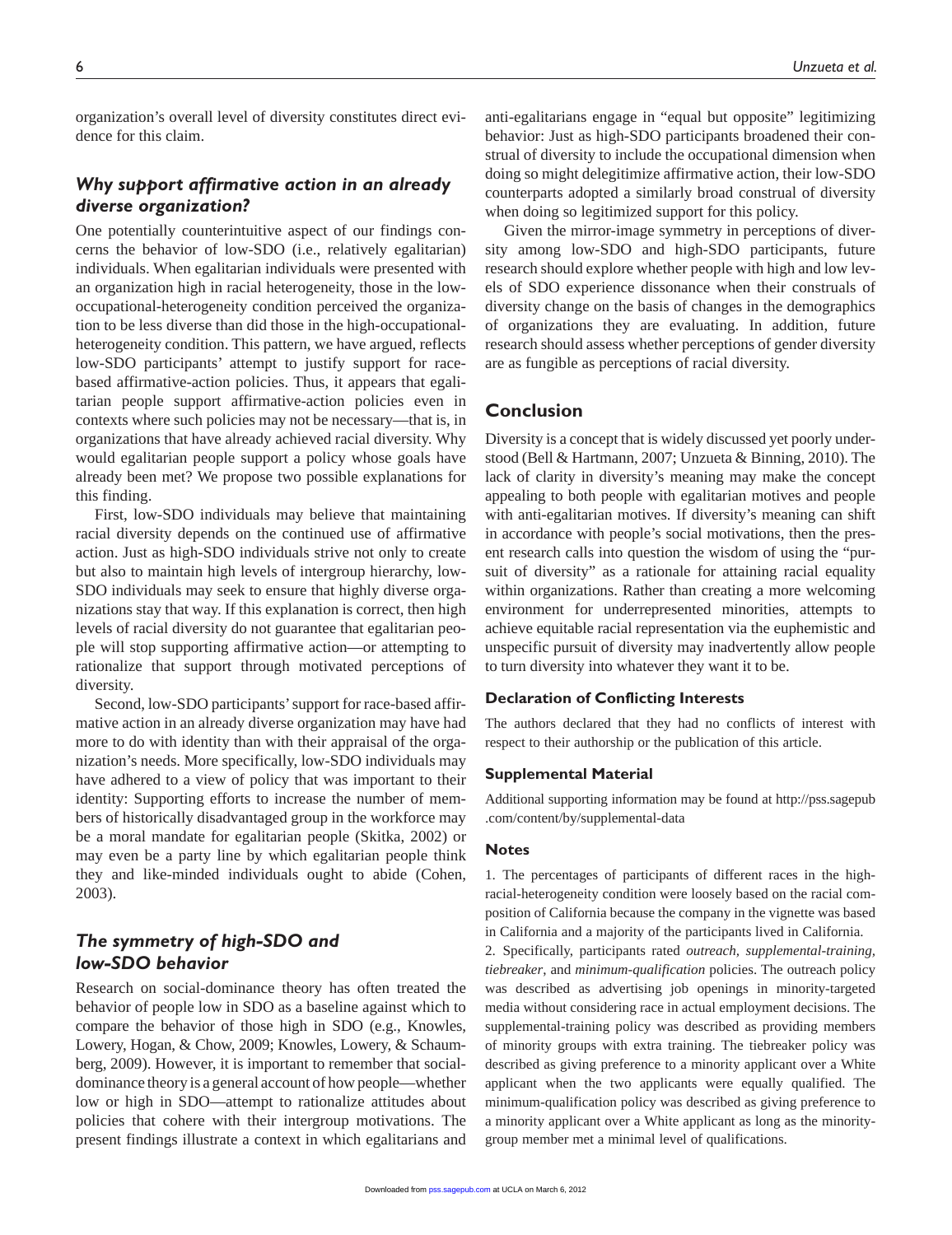organization's overall level of diversity constitutes direct evidence for this claim.

# *Why support affirmative action in an already diverse organization?*

One potentially counterintuitive aspect of our findings concerns the behavior of low-SDO (i.e., relatively egalitarian) individuals. When egalitarian individuals were presented with an organization high in racial heterogeneity, those in the lowoccupational-heterogeneity condition perceived the organization to be less diverse than did those in the high-occupationalheterogeneity condition. This pattern, we have argued, reflects low-SDO participants' attempt to justify support for racebased affirmative-action policies. Thus, it appears that egalitarian people support affirmative-action policies even in contexts where such policies may not be necessary—that is, in organizations that have already achieved racial diversity. Why would egalitarian people support a policy whose goals have already been met? We propose two possible explanations for this finding.

First, low-SDO individuals may believe that maintaining racial diversity depends on the continued use of affirmative action. Just as high-SDO individuals strive not only to create but also to maintain high levels of intergroup hierarchy, low-SDO individuals may seek to ensure that highly diverse organizations stay that way. If this explanation is correct, then high levels of racial diversity do not guarantee that egalitarian people will stop supporting affirmative action—or attempting to rationalize that support through motivated perceptions of diversity.

Second, low-SDO participants' support for race-based affirmative action in an already diverse organization may have had more to do with identity than with their appraisal of the organization's needs. More specifically, low-SDO individuals may have adhered to a view of policy that was important to their identity: Supporting efforts to increase the number of members of historically disadvantaged group in the workforce may be a moral mandate for egalitarian people (Skitka, 2002) or may even be a party line by which egalitarian people think they and like-minded individuals ought to abide (Cohen, 2003).

# *The symmetry of high-SDO and low-SDO behavior*

Research on social-dominance theory has often treated the behavior of people low in SDO as a baseline against which to compare the behavior of those high in SDO (e.g., Knowles, Lowery, Hogan, & Chow, 2009; Knowles, Lowery, & Schaumberg, 2009). However, it is important to remember that socialdominance theory is a general account of how people—whether low or high in SDO—attempt to rationalize attitudes about policies that cohere with their intergroup motivations. The present findings illustrate a context in which egalitarians and

anti-egalitarians engage in "equal but opposite" legitimizing behavior: Just as high-SDO participants broadened their construal of diversity to include the occupational dimension when doing so might delegitimize affirmative action, their low-SDO counterparts adopted a similarly broad construal of diversity when doing so legitimized support for this policy.

Given the mirror-image symmetry in perceptions of diversity among low-SDO and high-SDO participants, future research should explore whether people with high and low levels of SDO experience dissonance when their construals of diversity change on the basis of changes in the demographics of organizations they are evaluating. In addition, future research should assess whether perceptions of gender diversity are as fungible as perceptions of racial diversity.

# **Conclusion**

Diversity is a concept that is widely discussed yet poorly understood (Bell & Hartmann, 2007; Unzueta & Binning, 2010). The lack of clarity in diversity's meaning may make the concept appealing to both people with egalitarian motives and people with anti-egalitarian motives. If diversity's meaning can shift in accordance with people's social motivations, then the present research calls into question the wisdom of using the "pursuit of diversity" as a rationale for attaining racial equality within organizations. Rather than creating a more welcoming environment for underrepresented minorities, attempts to achieve equitable racial representation via the euphemistic and unspecific pursuit of diversity may inadvertently allow people to turn diversity into whatever they want it to be.

#### **Declaration of Conflicting Interests**

The authors declared that they had no conflicts of interest with respect to their authorship or the publication of this article.

#### **Supplemental Material**

Additional supporting information may be found at http://pss.sagepub .com/content/by/supplemental-data

#### **Notes**

1. The percentages of participants of different races in the highracial-heterogeneity condition were loosely based on the racial composition of California because the company in the vignette was based in California and a majority of the participants lived in California.

2. Specifically, participants rated *outreach, supplemental-training, tiebreaker*, and *minimum-qualification* policies. The outreach policy was described as advertising job openings in minority-targeted media without considering race in actual employment decisions. The supplemental-training policy was described as providing members of minority groups with extra training. The tiebreaker policy was described as giving preference to a minority applicant over a White applicant when the two applicants were equally qualified. The minimum-qualification policy was described as giving preference to a minority applicant over a White applicant as long as the minoritygroup member met a minimal level of qualifications.